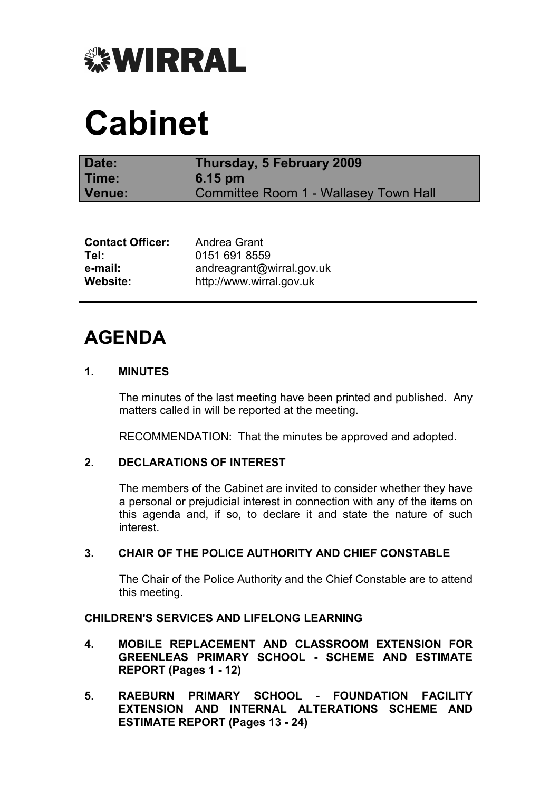

# Cabinet

| Date:  | Thursday, 5 February 2009             |
|--------|---------------------------------------|
| Time:  | $6.15 \text{ pm}$                     |
| Venue: | Committee Room 1 - Wallasey Town Hall |

| <b>Contact Officer:</b> | Andrea Grant              |
|-------------------------|---------------------------|
| Tel:                    | 0151 691 8559             |
| e-mail:                 | andreagrant@wirral.gov.uk |
| Website:                | http://www.wirral.gov.uk  |

# AGENDA

# 1. MINUTES

 The minutes of the last meeting have been printed and published. Any matters called in will be reported at the meeting.

RECOMMENDATION: That the minutes be approved and adopted.

# 2. DECLARATIONS OF INTEREST

 The members of the Cabinet are invited to consider whether they have a personal or prejudicial interest in connection with any of the items on this agenda and, if so, to declare it and state the nature of such interest.

#### 3. CHAIR OF THE POLICE AUTHORITY AND CHIEF CONSTABLE

 The Chair of the Police Authority and the Chief Constable are to attend this meeting.

# CHILDREN'S SERVICES AND LIFELONG LEARNING

- 4. MOBILE REPLACEMENT AND CLASSROOM EXTENSION FOR GREENLEAS PRIMARY SCHOOL - SCHEME AND ESTIMATE REPORT (Pages 1 - 12)
- 5. RAEBURN PRIMARY SCHOOL FOUNDATION FACILITY EXTENSION AND INTERNAL ALTERATIONS SCHEME AND ESTIMATE REPORT (Pages 13 - 24)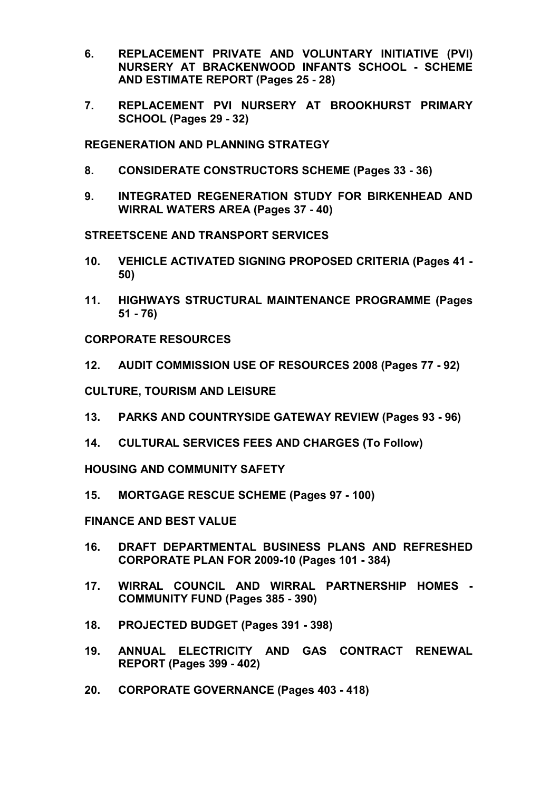- 6. REPLACEMENT PRIVATE AND VOLUNTARY INITIATIVE (PVI) NURSERY AT BRACKENWOOD INFANTS SCHOOL - SCHEME AND ESTIMATE REPORT (Pages 25 - 28)
- 7. REPLACEMENT PVI NURSERY AT BROOKHURST PRIMARY SCHOOL (Pages 29 - 32)

REGENERATION AND PLANNING STRATEGY

- 8. CONSIDERATE CONSTRUCTORS SCHEME (Pages 33 36)
- 9. INTEGRATED REGENERATION STUDY FOR BIRKENHEAD AND WIRRAL WATERS AREA (Pages 37 - 40)

STREETSCENE AND TRANSPORT SERVICES

- 10. VEHICLE ACTIVATED SIGNING PROPOSED CRITERIA (Pages 41 50)
- 11. HIGHWAYS STRUCTURAL MAINTENANCE PROGRAMME (Pages 51 - 76)

CORPORATE RESOURCES

12. AUDIT COMMISSION USE OF RESOURCES 2008 (Pages 77 - 92)

CULTURE, TOURISM AND LEISURE

- 13. PARKS AND COUNTRYSIDE GATEWAY REVIEW (Pages 93 96)
- 14. CULTURAL SERVICES FEES AND CHARGES (To Follow)

HOUSING AND COMMUNITY SAFETY

15. MORTGAGE RESCUE SCHEME (Pages 97 - 100)

FINANCE AND BEST VALUE

- 16. DRAFT DEPARTMENTAL BUSINESS PLANS AND REFRESHED CORPORATE PLAN FOR 2009-10 (Pages 101 - 384)
- 17. WIRRAL COUNCIL AND WIRRAL PARTNERSHIP HOMES COMMUNITY FUND (Pages 385 - 390)
- 18. PROJECTED BUDGET (Pages 391 398)
- 19. ANNUAL ELECTRICITY AND GAS CONTRACT RENEWAL REPORT (Pages 399 - 402)
- 20. CORPORATE GOVERNANCE (Pages 403 418)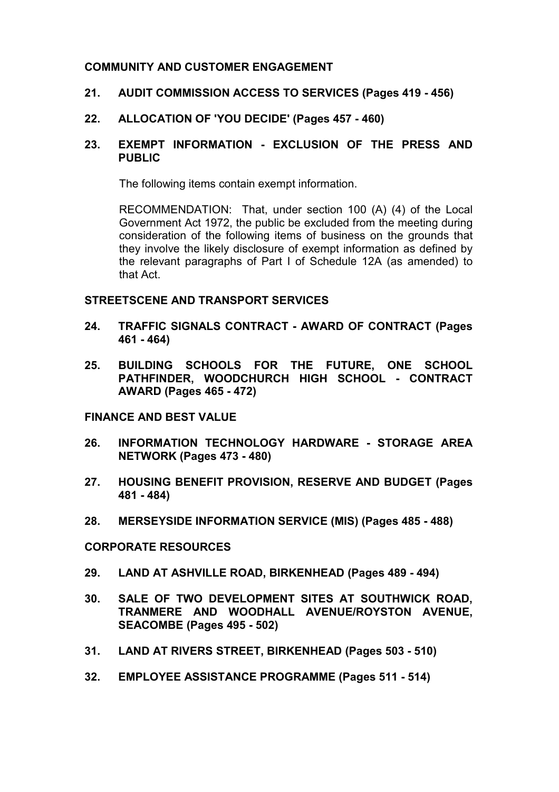# COMMUNITY AND CUSTOMER ENGAGEMENT

#### 21. AUDIT COMMISSION ACCESS TO SERVICES (Pages 419 - 456)

#### 22. ALLOCATION OF 'YOU DECIDE' (Pages 457 - 460)

### 23. EXEMPT INFORMATION - EXCLUSION OF THE PRESS AND PUBLIC

The following items contain exempt information.

RECOMMENDATION: That, under section 100 (A) (4) of the Local Government Act 1972, the public be excluded from the meeting during consideration of the following items of business on the grounds that they involve the likely disclosure of exempt information as defined by the relevant paragraphs of Part I of Schedule 12A (as amended) to that Act.

#### STREETSCENE AND TRANSPORT SERVICES

- 24. TRAFFIC SIGNALS CONTRACT AWARD OF CONTRACT (Pages 461 - 464)
- 25. BUILDING SCHOOLS FOR THE FUTURE, ONE SCHOOL PATHFINDER, WOODCHURCH HIGH SCHOOL - CONTRACT AWARD (Pages 465 - 472)

#### FINANCE AND BEST VALUE

- 26. INFORMATION TECHNOLOGY HARDWARE STORAGE AREA NETWORK (Pages 473 - 480)
- 27. HOUSING BENEFIT PROVISION, RESERVE AND BUDGET (Pages 481 - 484)
- 28. MERSEYSIDE INFORMATION SERVICE (MIS) (Pages 485 488)

#### CORPORATE RESOURCES

- 29. LAND AT ASHVILLE ROAD, BIRKENHEAD (Pages 489 494)
- 30. SALE OF TWO DEVELOPMENT SITES AT SOUTHWICK ROAD, TRANMERE AND WOODHALL AVENUE/ROYSTON AVENUE, SEACOMBE (Pages 495 - 502)
- 31. LAND AT RIVERS STREET, BIRKENHEAD (Pages 503 510)
- 32. EMPLOYEE ASSISTANCE PROGRAMME (Pages 511 514)